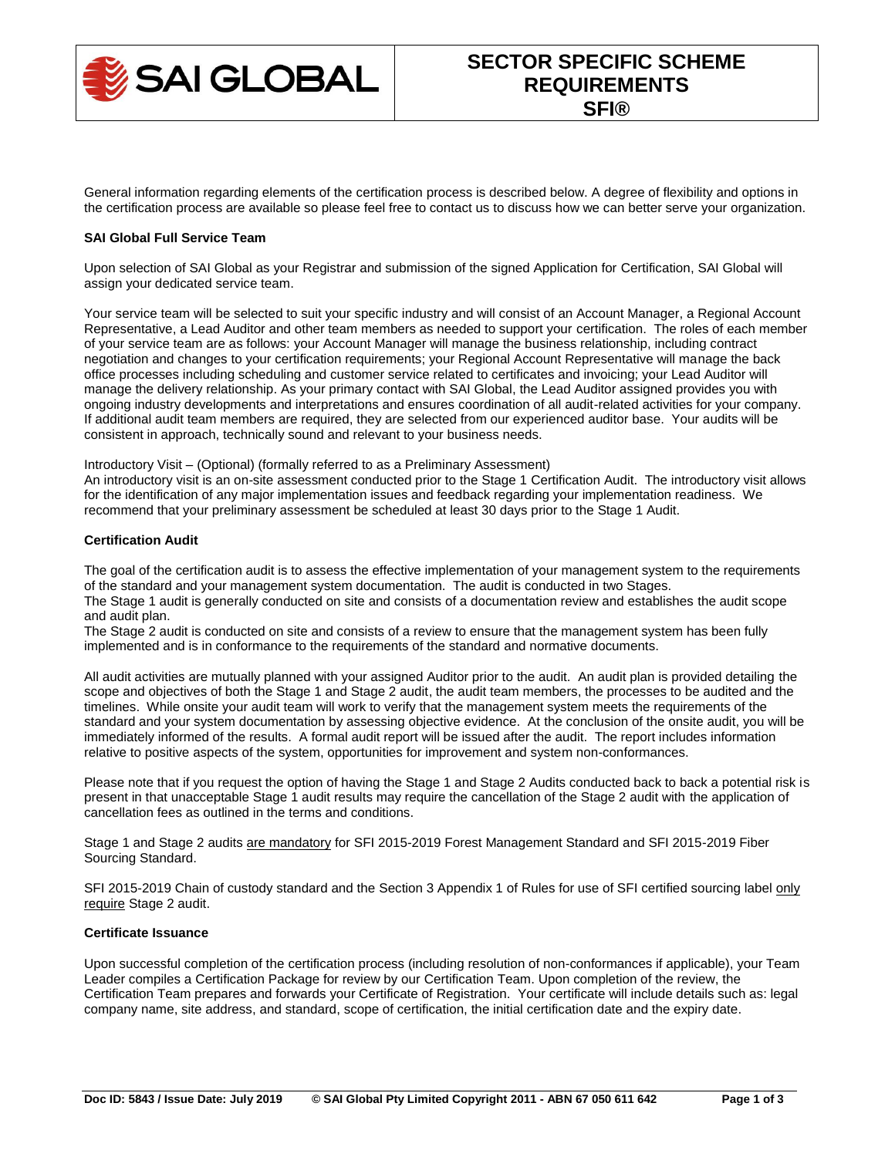

General information regarding elements of the certification process is described below. A degree of flexibility and options in the certification process are available so please feel free to contact us to discuss how we can better serve your organization.

# **SAI Global Full Service Team**

Upon selection of SAI Global as your Registrar and submission of the signed Application for Certification, SAI Global will assign your dedicated service team.

Your service team will be selected to suit your specific industry and will consist of an Account Manager, a Regional Account Representative, a Lead Auditor and other team members as needed to support your certification. The roles of each member of your service team are as follows: your Account Manager will manage the business relationship, including contract negotiation and changes to your certification requirements; your Regional Account Representative will manage the back office processes including scheduling and customer service related to certificates and invoicing; your Lead Auditor will manage the delivery relationship. As your primary contact with SAI Global, the Lead Auditor assigned provides you with ongoing industry developments and interpretations and ensures coordination of all audit-related activities for your company. If additional audit team members are required, they are selected from our experienced auditor base. Your audits will be consistent in approach, technically sound and relevant to your business needs.

Introductory Visit – (Optional) (formally referred to as a Preliminary Assessment)

An introductory visit is an on-site assessment conducted prior to the Stage 1 Certification Audit. The introductory visit allows for the identification of any major implementation issues and feedback regarding your implementation readiness. We recommend that your preliminary assessment be scheduled at least 30 days prior to the Stage 1 Audit.

# **Certification Audit**

The goal of the certification audit is to assess the effective implementation of your management system to the requirements of the standard and your management system documentation. The audit is conducted in two Stages. The Stage 1 audit is generally conducted on site and consists of a documentation review and establishes the audit scope and audit plan.

The Stage 2 audit is conducted on site and consists of a review to ensure that the management system has been fully implemented and is in conformance to the requirements of the standard and normative documents.

All audit activities are mutually planned with your assigned Auditor prior to the audit. An audit plan is provided detailing the scope and objectives of both the Stage 1 and Stage 2 audit, the audit team members, the processes to be audited and the timelines. While onsite your audit team will work to verify that the management system meets the requirements of the standard and your system documentation by assessing objective evidence. At the conclusion of the onsite audit, you will be immediately informed of the results. A formal audit report will be issued after the audit. The report includes information relative to positive aspects of the system, opportunities for improvement and system non-conformances.

Please note that if you request the option of having the Stage 1 and Stage 2 Audits conducted back to back a potential risk is present in that unacceptable Stage 1 audit results may require the cancellation of the Stage 2 audit with the application of cancellation fees as outlined in the terms and conditions.

Stage 1 and Stage 2 audits are mandatory for SFI 2015-2019 Forest Management Standard and SFI 2015-2019 Fiber Sourcing Standard.

SFI 2015-2019 Chain of custody standard and the Section 3 Appendix 1 of Rules for use of SFI certified sourcing label only require Stage 2 audit.

# **Certificate Issuance**

Upon successful completion of the certification process (including resolution of non-conformances if applicable), your Team Leader compiles a Certification Package for review by our Certification Team. Upon completion of the review, the Certification Team prepares and forwards your Certificate of Registration. Your certificate will include details such as: legal company name, site address, and standard, scope of certification, the initial certification date and the expiry date.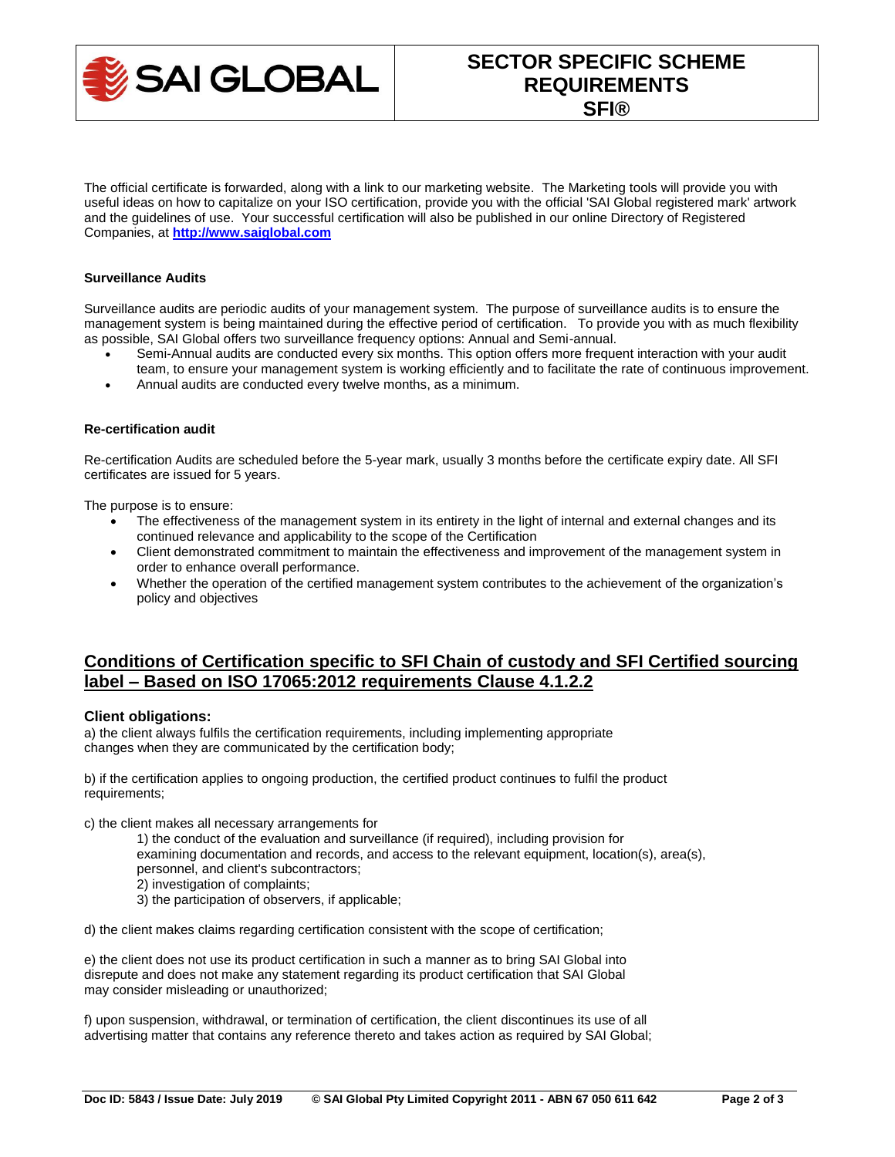

# **SECTOR SPECIFIC SCHEME REQUIREMENTS SFI®**

The official certificate is forwarded, along with a link to our marketing website. The Marketing tools will provide you with useful ideas on how to capitalize on your ISO certification, provide you with the official 'SAI Global registered mark' artwork and the guidelines of use. Your successful certification will also be published in our online Directory of Registered Companies, at **http://www.saiglobal.com**

#### **Surveillance Audits**

Surveillance audits are periodic audits of your management system. The purpose of surveillance audits is to ensure the management system is being maintained during the effective period of certification. To provide you with as much flexibility as possible, SAI Global offers two surveillance frequency options: Annual and Semi-annual.

- Semi-Annual audits are conducted every six months. This option offers more frequent interaction with your audit team, to ensure your management system is working efficiently and to facilitate the rate of continuous improvement.
- Annual audits are conducted every twelve months, as a minimum.

#### **Re-certification audit**

Re-certification Audits are scheduled before the 5-year mark, usually 3 months before the certificate expiry date. All SFI certificates are issued for 5 years.

The purpose is to ensure:

- The effectiveness of the management system in its entirety in the light of internal and external changes and its continued relevance and applicability to the scope of the Certification
- Client demonstrated commitment to maintain the effectiveness and improvement of the management system in order to enhance overall performance.
- Whether the operation of the certified management system contributes to the achievement of the organization's policy and objectives

# **Conditions of Certification specific to SFI Chain of custody and SFI Certified sourcing label – Based on ISO 17065:2012 requirements Clause 4.1.2.2**

# **Client obligations:**

a) the client always fulfils the certification requirements, including implementing appropriate changes when they are communicated by the certification body;

b) if the certification applies to ongoing production, the certified product continues to fulfil the product requirements;

c) the client makes all necessary arrangements for

1) the conduct of the evaluation and surveillance (if required), including provision for

- examining documentation and records, and access to the relevant equipment, location(s), area(s),
- personnel, and client's subcontractors;
- 2) investigation of complaints;
- 3) the participation of observers, if applicable;

d) the client makes claims regarding certification consistent with the scope of certification;

e) the client does not use its product certification in such a manner as to bring SAI Global into disrepute and does not make any statement regarding its product certification that SAI Global may consider misleading or unauthorized;

f) upon suspension, withdrawal, or termination of certification, the client discontinues its use of all advertising matter that contains any reference thereto and takes action as required by SAI Global;